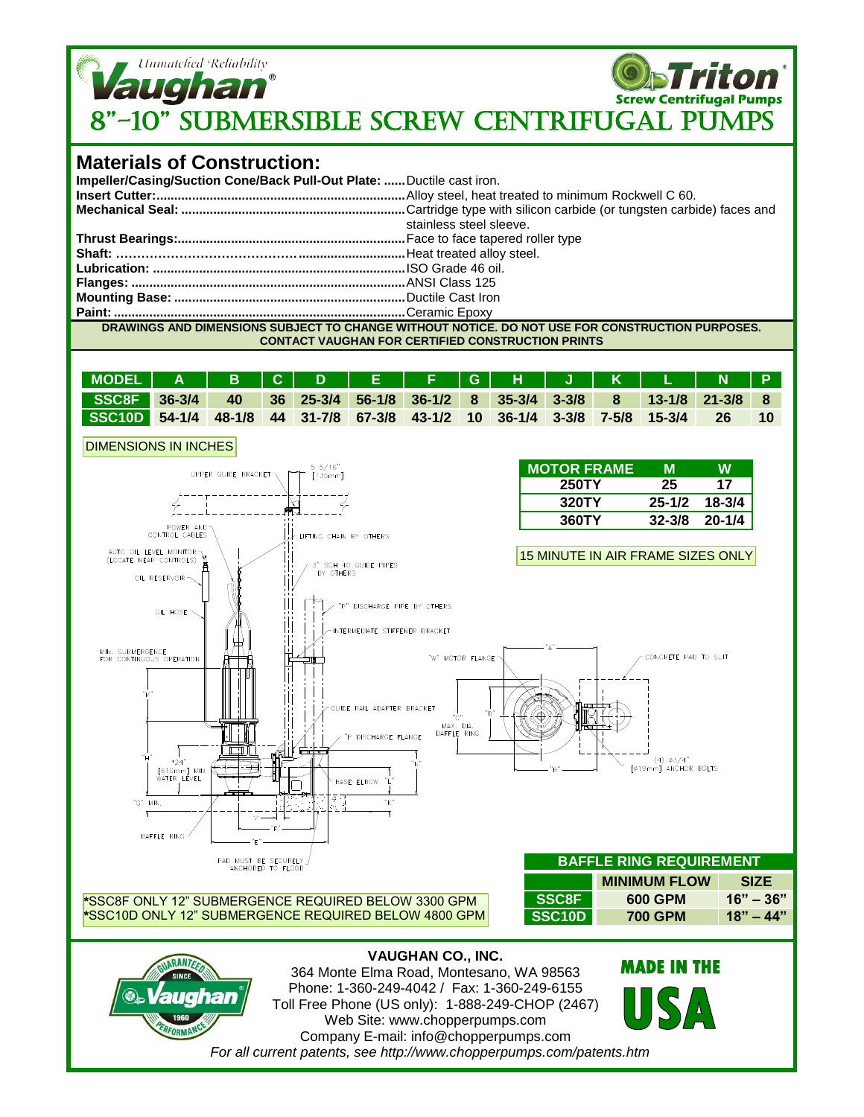

PAD MUST BE SECURELY<br>ANCHORED TO FLOOR **\***SSC8F ONLY 12" SUBMERGENCE REQUIRED BELOW 3300 GPM **\***SSC10D ONLY 12" SUBMERGENCE REQUIRED BELOW 4800 GPM

## **BAFFLE RING REQUIREMENT MINIMUM FLOW SIZE SSC8F 600 GPM 16" – 36" SSC10D 700 GPM 18" – 44"**

## **VAUGHAN CO., INC.**

MAX. DIA.<br>BAFFLE RING

GUIDE RAIL ADAPTER BRACKET

DISCHARGE FLANGE

BASE ELBOW



 $\frac{1}{24}$ [610mm] MII<br>WATER LEVEL

**MIN** 

BAFFLE RING

364 Monte Elma Road, Montesano, WA 98563 Phone: 1-360-249-4042 / Fax: 1-360-249-6155 Toll Free Phone (US only): 1-888-249-CHOP (2467) Web Site: www.chopperpumps.com Company E-mail: info@chopperpumps.com *For all current patents, see http://www.chopperpumps.com/patents.htm*